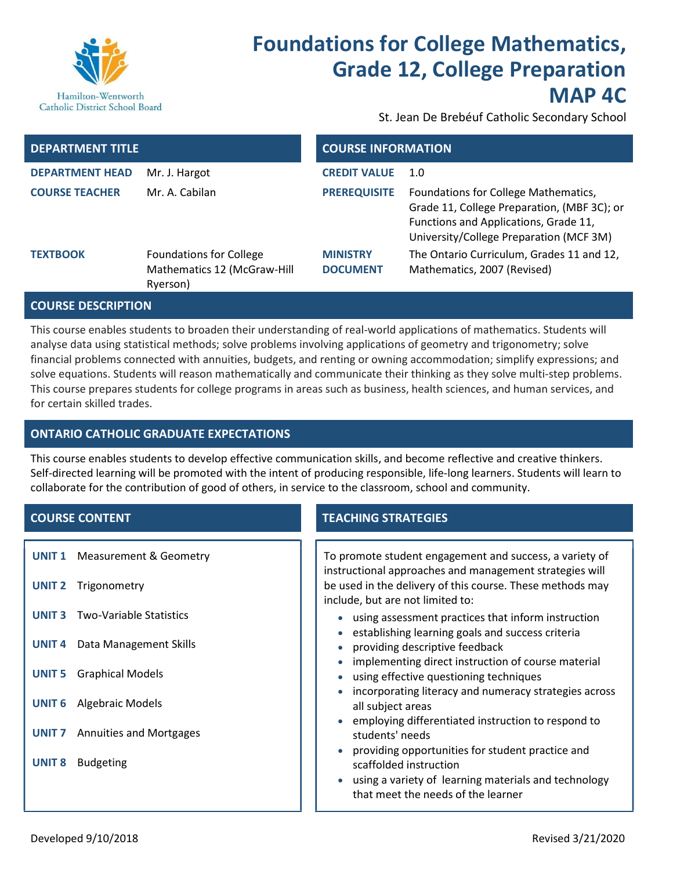

# Foundations for College Mathematics, Grade 12, College Preparation MAP 4C

St. Jean De Brebéuf Catholic Secondary School

| <b>DEPARTMENT TITLE</b> |                                                                           | <b>COURSE INFORMATION</b>          |                                                                                                                                                                         |
|-------------------------|---------------------------------------------------------------------------|------------------------------------|-------------------------------------------------------------------------------------------------------------------------------------------------------------------------|
| <b>DEPARTMENT HEAD</b>  | Mr. J. Hargot                                                             | <b>CREDIT VALUE</b>                | 1.0                                                                                                                                                                     |
| <b>COURSE TEACHER</b>   | Mr. A. Cabilan                                                            | <b>PREREQUISITE</b>                | Foundations for College Mathematics,<br>Grade 11, College Preparation, (MBF 3C); or<br>Functions and Applications, Grade 11,<br>University/College Preparation (MCF 3M) |
| <b>TEXTBOOK</b>         | <b>Foundations for College</b><br>Mathematics 12 (McGraw-Hill<br>Ryerson) | <b>MINISTRY</b><br><b>DOCUMENT</b> | The Ontario Curriculum, Grades 11 and 12,<br>Mathematics, 2007 (Revised)                                                                                                |

### COURSE DESCRIPTION

This course enables students to broaden their understanding of real-world applications of mathematics. Students will analyse data using statistical methods; solve problems involving applications of geometry and trigonometry; solve financial problems connected with annuities, budgets, and renting or owning accommodation; simplify expressions; and solve equations. Students will reason mathematically and communicate their thinking as they solve multi-step problems. This course prepares students for college programs in areas such as business, health sciences, and human services, and for certain skilled trades.

# ONTARIO CATHOLIC GRADUATE EXPECTATIONS

This course enables students to develop effective communication skills, and become reflective and creative thinkers. Self-directed learning will be promoted with the intent of producing responsible, life-long learners. Students will learn to collaborate for the contribution of good of others, in service to the classroom, school and community.

- UNIT 1 Measurement & Geometry
- UNIT 2 Trigonometry
- UNIT 3 Two-Variable Statistics
- UNIT 4 Data Management Skills
- UNIT 5 Graphical Models
- UNIT 6 Algebraic Models
- UNIT 7 Annuities and Mortgages
- UNIT 8 Budgeting

# **COURSE CONTENT TEACHING STRATEGIES**

To promote student engagement and success, a variety of instructional approaches and management strategies will be used in the delivery of this course. These methods may include, but are not limited to:

- using assessment practices that inform instruction
- $\bullet$  establishing learning goals and success criteria
- providing descriptive feedback
- implementing direct instruction of course material
- using effective questioning techniques
- incorporating literacy and numeracy strategies across all subject areas
- employing differentiated instruction to respond to students' needs
- providing opportunities for student practice and scaffolded instruction
- using a variety of learning materials and technology that meet the needs of the learner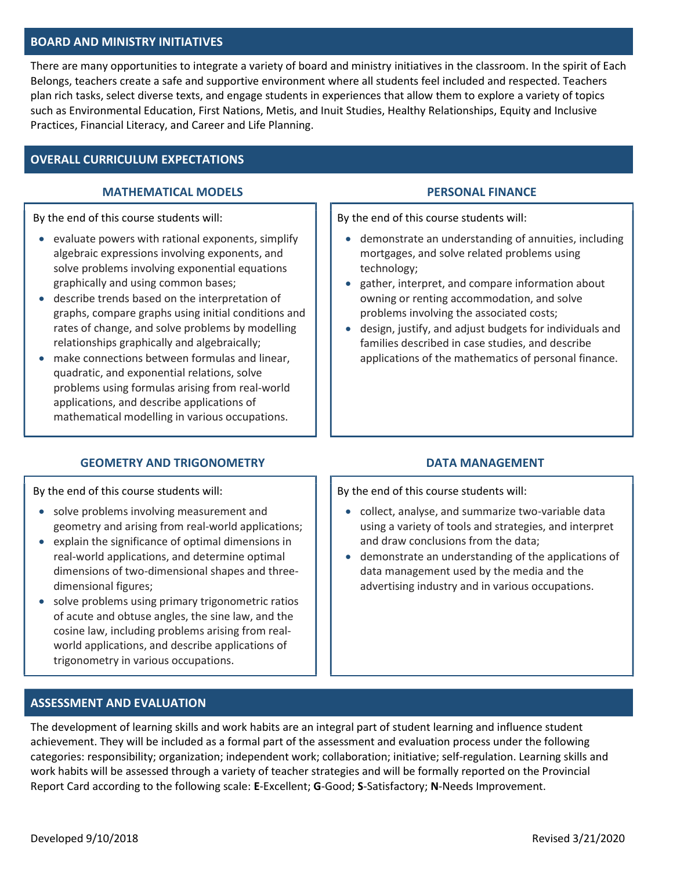#### BOARD AND MINISTRY INITIATIVES

There are many opportunities to integrate a variety of board and ministry initiatives in the classroom. In the spirit of Each Belongs, teachers create a safe and supportive environment where all students feel included and respected. Teachers plan rich tasks, select diverse texts, and engage students in experiences that allow them to explore a variety of topics such as Environmental Education, First Nations, Metis, and Inuit Studies, Healthy Relationships, Equity and Inclusive Practices, Financial Literacy, and Career and Life Planning.

## OVERALL CURRICULUM EXPECTATIONS

#### MATHEMATICAL MODELS PERSONAL FINANCE

By the end of this course students will:

- $\bullet$  evaluate powers with rational exponents, simplify algebraic expressions involving exponents, and solve problems involving exponential equations graphically and using common bases;
- describe trends based on the interpretation of graphs, compare graphs using initial conditions and rates of change, and solve problems by modelling relationships graphically and algebraically;
- make connections between formulas and linear, quadratic, and exponential relations, solve problems using formulas arising from real-world applications, and describe applications of mathematical modelling in various occupations.

### GEOMETRY AND TRIGONOMETRY **EXAMPLE 20 INCHES** DATA MANAGEMENT

By the end of this course students will:

- demonstrate an understanding of annuities, including mortgages, and solve related problems using technology;
- gather, interpret, and compare information about owning or renting accommodation, and solve problems involving the associated costs;
- design, justify, and adjust budgets for individuals and families described in case studies, and describe applications of the mathematics of personal finance.

By the end of this course students will:

- collect, analyse, and summarize two-variable data using a variety of tools and strategies, and interpret and draw conclusions from the data;
- demonstrate an understanding of the applications of data management used by the media and the advertising industry and in various occupations.

#### By the end of this course students will:

- solve problems involving measurement and geometry and arising from real-world applications;
- explain the significance of optimal dimensions in real-world applications, and determine optimal dimensions of two-dimensional shapes and threedimensional figures;
- solve problems using primary trigonometric ratios of acute and obtuse angles, the sine law, and the cosine law, including problems arising from realworld applications, and describe applications of trigonometry in various occupations.

#### ASSESSMENT AND EVALUATION

The development of learning skills and work habits are an integral part of student learning and influence student achievement. They will be included as a formal part of the assessment and evaluation process under the following categories: responsibility; organization; independent work; collaboration; initiative; self-regulation. Learning skills and work habits will be assessed through a variety of teacher strategies and will be formally reported on the Provincial Report Card according to the following scale: E-Excellent; G-Good; S-Satisfactory; N-Needs Improvement.